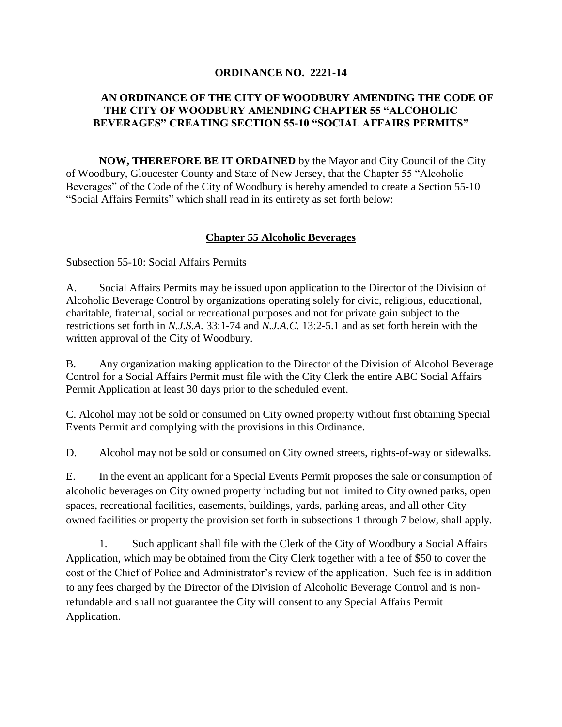## **ORDINANCE NO. 2221-14**

## **AN ORDINANCE OF THE CITY OF WOODBURY AMENDING THE CODE OF THE CITY OF WOODBURY AMENDING CHAPTER 55 "ALCOHOLIC BEVERAGES" CREATING SECTION 55-10 "SOCIAL AFFAIRS PERMITS"**

**NOW, THEREFORE BE IT ORDAINED** by the Mayor and City Council of the City of Woodbury, Gloucester County and State of New Jersey, that the Chapter 55 "Alcoholic Beverages" of the Code of the City of Woodbury is hereby amended to create a Section 55-10 "Social Affairs Permits" which shall read in its entirety as set forth below:

## **Chapter 55 Alcoholic Beverages**

Subsection 55-10: Social Affairs Permits

A. Social Affairs Permits may be issued upon application to the Director of the Division of Alcoholic Beverage Control by organizations operating solely for civic, religious, educational, charitable, fraternal, social or recreational purposes and not for private gain subject to the restrictions set forth in *N.J.S.A.* 33:1-74 and *N.J.A.C.* 13:2-5.1 and as set forth herein with the written approval of the City of Woodbury.

B. Any organization making application to the Director of the Division of Alcohol Beverage Control for a Social Affairs Permit must file with the City Clerk the entire ABC Social Affairs Permit Application at least 30 days prior to the scheduled event.

C. Alcohol may not be sold or consumed on City owned property without first obtaining Special Events Permit and complying with the provisions in this Ordinance.

D. Alcohol may not be sold or consumed on City owned streets, rights-of-way or sidewalks.

E. In the event an applicant for a Special Events Permit proposes the sale or consumption of alcoholic beverages on City owned property including but not limited to City owned parks, open spaces, recreational facilities, easements, buildings, yards, parking areas, and all other City owned facilities or property the provision set forth in subsections 1 through 7 below, shall apply.

1. Such applicant shall file with the Clerk of the City of Woodbury a Social Affairs Application, which may be obtained from the City Clerk together with a fee of \$50 to cover the cost of the Chief of Police and Administrator's review of the application. Such fee is in addition to any fees charged by the Director of the Division of Alcoholic Beverage Control and is nonrefundable and shall not guarantee the City will consent to any Special Affairs Permit Application.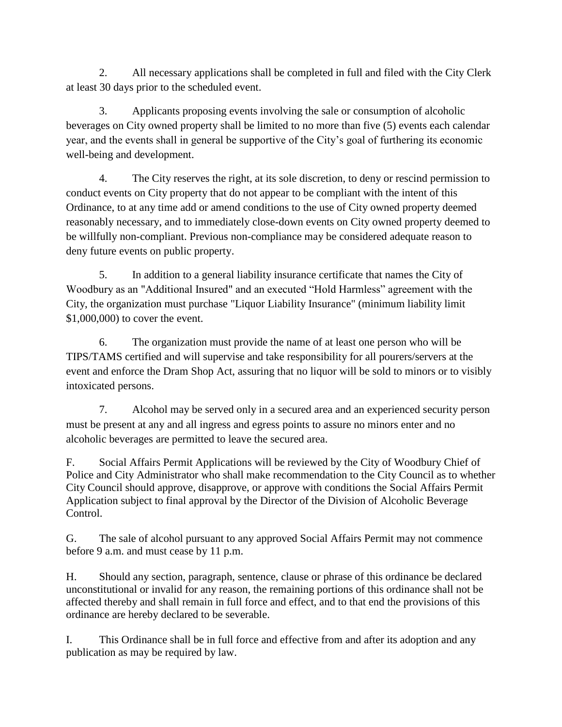2. All necessary applications shall be completed in full and filed with the City Clerk at least 30 days prior to the scheduled event.

3. Applicants proposing events involving the sale or consumption of alcoholic beverages on City owned property shall be limited to no more than five (5) events each calendar year, and the events shall in general be supportive of the City's goal of furthering its economic well-being and development.

4. The City reserves the right, at its sole discretion, to deny or rescind permission to conduct events on City property that do not appear to be compliant with the intent of this Ordinance, to at any time add or amend conditions to the use of City owned property deemed reasonably necessary, and to immediately close-down events on City owned property deemed to be willfully non-compliant. Previous non-compliance may be considered adequate reason to deny future events on public property.

5. In addition to a general liability insurance certificate that names the City of Woodbury as an "Additional Insured" and an executed "Hold Harmless" agreement with the City, the organization must purchase "Liquor Liability Insurance" (minimum liability limit \$1,000,000) to cover the event.

6. The organization must provide the name of at least one person who will be TIPS/TAMS certified and will supervise and take responsibility for all pourers/servers at the event and enforce the Dram Shop Act, assuring that no liquor will be sold to minors or to visibly intoxicated persons.

7. Alcohol may be served only in a secured area and an experienced security person must be present at any and all ingress and egress points to assure no minors enter and no alcoholic beverages are permitted to leave the secured area.

F. Social Affairs Permit Applications will be reviewed by the City of Woodbury Chief of Police and City Administrator who shall make recommendation to the City Council as to whether City Council should approve, disapprove, or approve with conditions the Social Affairs Permit Application subject to final approval by the Director of the Division of Alcoholic Beverage Control.

G. The sale of alcohol pursuant to any approved Social Affairs Permit may not commence before 9 a.m. and must cease by 11 p.m.

H. Should any section, paragraph, sentence, clause or phrase of this ordinance be declared unconstitutional or invalid for any reason, the remaining portions of this ordinance shall not be affected thereby and shall remain in full force and effect, and to that end the provisions of this ordinance are hereby declared to be severable.

I. This Ordinance shall be in full force and effective from and after its adoption and any publication as may be required by law.